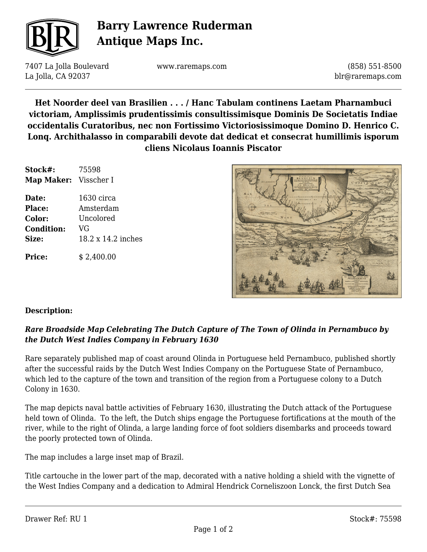

# **Barry Lawrence Ruderman Antique Maps Inc.**

7407 La Jolla Boulevard La Jolla, CA 92037

www.raremaps.com

(858) 551-8500 blr@raremaps.com

**Het Noorder deel van Brasilien . . . / Hanc Tabulam continens Laetam Pharnambuci victoriam, Amplissimis prudentissimis consultissimisque Dominis De Societatis Indiae occidentalis Curatoribus, nec non Fortissimo Victoriosissimoque Domino D. Henrico C. Lonq. Archithalasso in comparabili devote dat dedicat et consecrat humillimis isporum cliens Nicolaus Ioannis Piscator**

| Stock#:<br>Map Maker: Visscher I | 75598              |
|----------------------------------|--------------------|
|                                  |                    |
| <b>Place:</b>                    | Amsterdam          |
| Color:                           | Uncolored          |
| <b>Condition:</b>                | VG                 |
| Size:                            | 18.2 x 14.2 inches |
| <b>Price:</b>                    | \$2,400.00         |



#### **Description:**

#### *Rare Broadside Map Celebrating The Dutch Capture of The Town of Olinda in Pernambuco by the Dutch West Indies Company in February 1630*

Rare separately published map of coast around Olinda in Portuguese held Pernambuco, published shortly after the successful raids by the Dutch West Indies Company on the Portuguese State of Pernambuco, which led to the capture of the town and transition of the region from a Portuguese colony to a Dutch Colony in 1630.

The map depicts naval battle activities of February 1630, illustrating the Dutch attack of the Portuguese held town of Olinda. To the left, the Dutch ships engage the Portuguese fortifications at the mouth of the river, while to the right of Olinda, a large landing force of foot soldiers disembarks and proceeds toward the poorly protected town of Olinda.

The map includes a large inset map of Brazil.

Title cartouche in the lower part of the map, decorated with a native holding a shield with the vignette of the West Indies Company and a dedication to Admiral Hendrick Corneliszoon Lonck, the first Dutch Sea